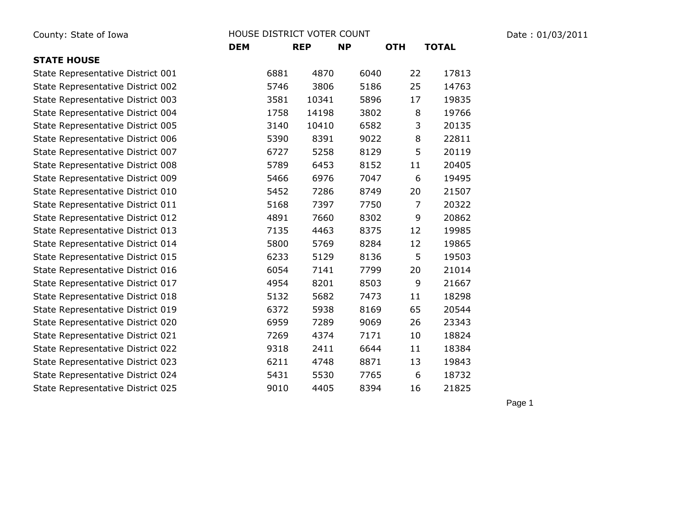| County: State of Iowa             | HOUSE DISTRICT VOTER COUNT |            |           |            |              |  |  |
|-----------------------------------|----------------------------|------------|-----------|------------|--------------|--|--|
|                                   | <b>DEM</b>                 | <b>REP</b> | <b>NP</b> | <b>OTH</b> | <b>TOTAL</b> |  |  |
| <b>STATE HOUSE</b>                |                            |            |           |            |              |  |  |
| State Representative District 001 | 6881                       | 4870       | 6040      | 22         | 17813        |  |  |
| State Representative District 002 | 5746                       | 3806       | 5186      | 25         | 14763        |  |  |
| State Representative District 003 | 3581                       | 10341      | 5896      | 17         | 19835        |  |  |
| State Representative District 004 | 1758                       | 14198      | 3802      | 8          | 19766        |  |  |
| State Representative District 005 | 3140                       | 10410      | 6582      | 3          | 20135        |  |  |
| State Representative District 006 | 5390                       | 8391       | 9022      | 8          | 22811        |  |  |
| State Representative District 007 | 6727                       | 5258       | 8129      | 5          | 20119        |  |  |
| State Representative District 008 | 5789                       | 6453       | 8152      | 11         | 20405        |  |  |
| State Representative District 009 | 5466                       | 6976       | 7047      | 6          | 19495        |  |  |
| State Representative District 010 | 5452                       | 7286       | 8749      | 20         | 21507        |  |  |
| State Representative District 011 | 5168                       | 7397       | 7750      | 7          | 20322        |  |  |
| State Representative District 012 | 4891                       | 7660       | 8302      | 9          | 20862        |  |  |
| State Representative District 013 | 7135                       | 4463       | 8375      | 12         | 19985        |  |  |
| State Representative District 014 | 5800                       | 5769       | 8284      | 12         | 19865        |  |  |
| State Representative District 015 | 6233                       | 5129       | 8136      | 5          | 19503        |  |  |
| State Representative District 016 | 6054                       | 7141       | 7799      | 20         | 21014        |  |  |
| State Representative District 017 | 4954                       | 8201       | 8503      | 9          | 21667        |  |  |
| State Representative District 018 | 5132                       | 5682       | 7473      | 11         | 18298        |  |  |
| State Representative District 019 | 6372                       | 5938       | 8169      | 65         | 20544        |  |  |
| State Representative District 020 | 6959                       | 7289       | 9069      | 26         | 23343        |  |  |
| State Representative District 021 | 7269                       | 4374       | 7171      | 10         | 18824        |  |  |
| State Representative District 022 | 9318                       | 2411       | 6644      | 11         | 18384        |  |  |
| State Representative District 023 | 6211                       | 4748       | 8871      | 13         | 19843        |  |  |
| State Representative District 024 | 5431                       | 5530       | 7765      | 6          | 18732        |  |  |
| State Representative District 025 | 9010                       | 4405       | 8394      | 16         | 21825        |  |  |

Page 1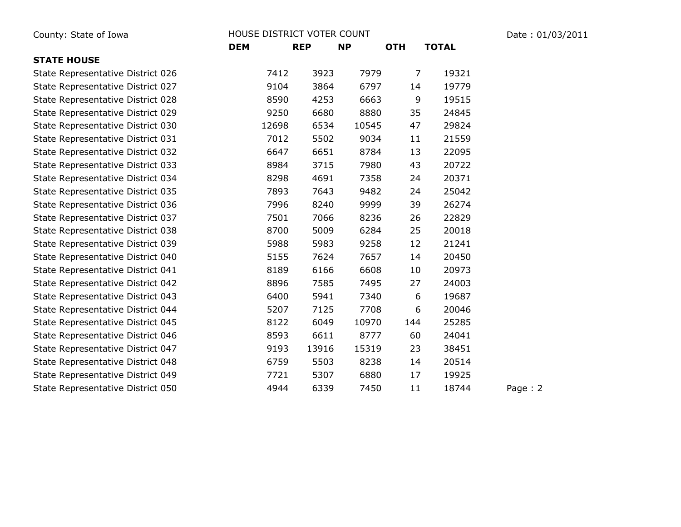| County: State of Iowa             | HOUSE DISTRICT VOTER COUNT |            |           |            |              | Date: 01/03/2011 |
|-----------------------------------|----------------------------|------------|-----------|------------|--------------|------------------|
|                                   | <b>DEM</b>                 | <b>REP</b> | <b>NP</b> | <b>OTH</b> | <b>TOTAL</b> |                  |
| <b>STATE HOUSE</b>                |                            |            |           |            |              |                  |
| State Representative District 026 | 7412                       | 3923       | 7979      | 7          | 19321        |                  |
| State Representative District 027 | 9104                       | 3864       | 6797      | 14         | 19779        |                  |
| State Representative District 028 | 8590                       | 4253       | 6663      | 9          | 19515        |                  |
| State Representative District 029 | 9250                       | 6680       | 8880      | 35         | 24845        |                  |
| State Representative District 030 | 12698                      | 6534       | 10545     | 47         | 29824        |                  |
| State Representative District 031 | 7012                       | 5502       | 9034      | 11         | 21559        |                  |
| State Representative District 032 | 6647                       | 6651       | 8784      | 13         | 22095        |                  |
| State Representative District 033 | 8984                       | 3715       | 7980      | 43         | 20722        |                  |
| State Representative District 034 | 8298                       | 4691       | 7358      | 24         | 20371        |                  |
| State Representative District 035 | 7893                       | 7643       | 9482      | 24         | 25042        |                  |
| State Representative District 036 | 7996                       | 8240       | 9999      | 39         | 26274        |                  |
| State Representative District 037 | 7501                       | 7066       | 8236      | 26         | 22829        |                  |
| State Representative District 038 | 8700                       | 5009       | 6284      | 25         | 20018        |                  |
| State Representative District 039 | 5988                       | 5983       | 9258      | 12         | 21241        |                  |
| State Representative District 040 | 5155                       | 7624       | 7657      | 14         | 20450        |                  |
| State Representative District 041 | 8189                       | 6166       | 6608      | 10         | 20973        |                  |
| State Representative District 042 | 8896                       | 7585       | 7495      | 27         | 24003        |                  |
| State Representative District 043 | 6400                       | 5941       | 7340      | 6          | 19687        |                  |
| State Representative District 044 | 5207                       | 7125       | 7708      | 6          | 20046        |                  |
| State Representative District 045 | 8122                       | 6049       | 10970     | 144        | 25285        |                  |
| State Representative District 046 | 8593                       | 6611       | 8777      | 60         | 24041        |                  |
| State Representative District 047 | 9193                       | 13916      | 15319     | 23         | 38451        |                  |
| State Representative District 048 | 6759                       | 5503       | 8238      | 14         | 20514        |                  |
| State Representative District 049 | 7721                       | 5307       | 6880      | 17         | 19925        |                  |
| State Representative District 050 | 4944                       | 6339       | 7450      | 11         | 18744        | Page: 2          |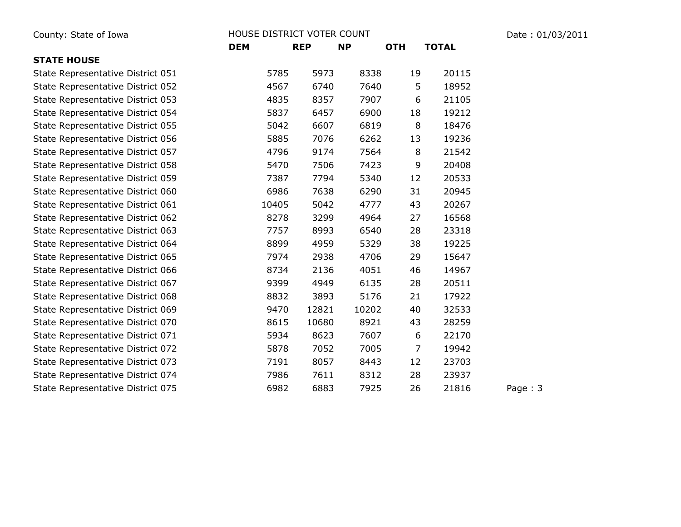| County: State of Iowa             | HOUSE DISTRICT VOTER COUNT |            |           |            |              | Date: 01/03/2011 |
|-----------------------------------|----------------------------|------------|-----------|------------|--------------|------------------|
|                                   | <b>DEM</b>                 | <b>REP</b> | <b>NP</b> | <b>OTH</b> | <b>TOTAL</b> |                  |
| <b>STATE HOUSE</b>                |                            |            |           |            |              |                  |
| State Representative District 051 | 5785                       | 5973       | 8338      | 19         | 20115        |                  |
| State Representative District 052 | 4567                       | 6740       | 7640      | 5          | 18952        |                  |
| State Representative District 053 | 4835                       | 8357       | 7907      | 6          | 21105        |                  |
| State Representative District 054 | 5837                       | 6457       | 6900      | 18         | 19212        |                  |
| State Representative District 055 | 5042                       | 6607       | 6819      | 8          | 18476        |                  |
| State Representative District 056 | 5885                       | 7076       | 6262      | 13         | 19236        |                  |
| State Representative District 057 | 4796                       | 9174       | 7564      | 8          | 21542        |                  |
| State Representative District 058 | 5470                       | 7506       | 7423      | 9          | 20408        |                  |
| State Representative District 059 | 7387                       | 7794       | 5340      | 12         | 20533        |                  |
| State Representative District 060 | 6986                       | 7638       | 6290      | 31         | 20945        |                  |
| State Representative District 061 | 10405                      | 5042       | 4777      | 43         | 20267        |                  |
| State Representative District 062 | 8278                       | 3299       | 4964      | 27         | 16568        |                  |
| State Representative District 063 | 7757                       | 8993       | 6540      | 28         | 23318        |                  |
| State Representative District 064 | 8899                       | 4959       | 5329      | 38         | 19225        |                  |
| State Representative District 065 | 7974                       | 2938       | 4706      | 29         | 15647        |                  |
| State Representative District 066 | 8734                       | 2136       | 4051      | 46         | 14967        |                  |
| State Representative District 067 | 9399                       | 4949       | 6135      | 28         | 20511        |                  |
| State Representative District 068 | 8832                       | 3893       | 5176      | 21         | 17922        |                  |
| State Representative District 069 | 9470                       | 12821      | 10202     | 40         | 32533        |                  |
| State Representative District 070 | 8615                       | 10680      | 8921      | 43         | 28259        |                  |
| State Representative District 071 | 5934                       | 8623       | 7607      | 6          | 22170        |                  |
| State Representative District 072 | 5878                       | 7052       | 7005      | 7          | 19942        |                  |
| State Representative District 073 | 7191                       | 8057       | 8443      | 12         | 23703        |                  |
| State Representative District 074 | 7986                       | 7611       | 8312      | 28         | 23937        |                  |
| State Representative District 075 | 6982                       | 6883       | 7925      | 26         | 21816        | Page: 3          |